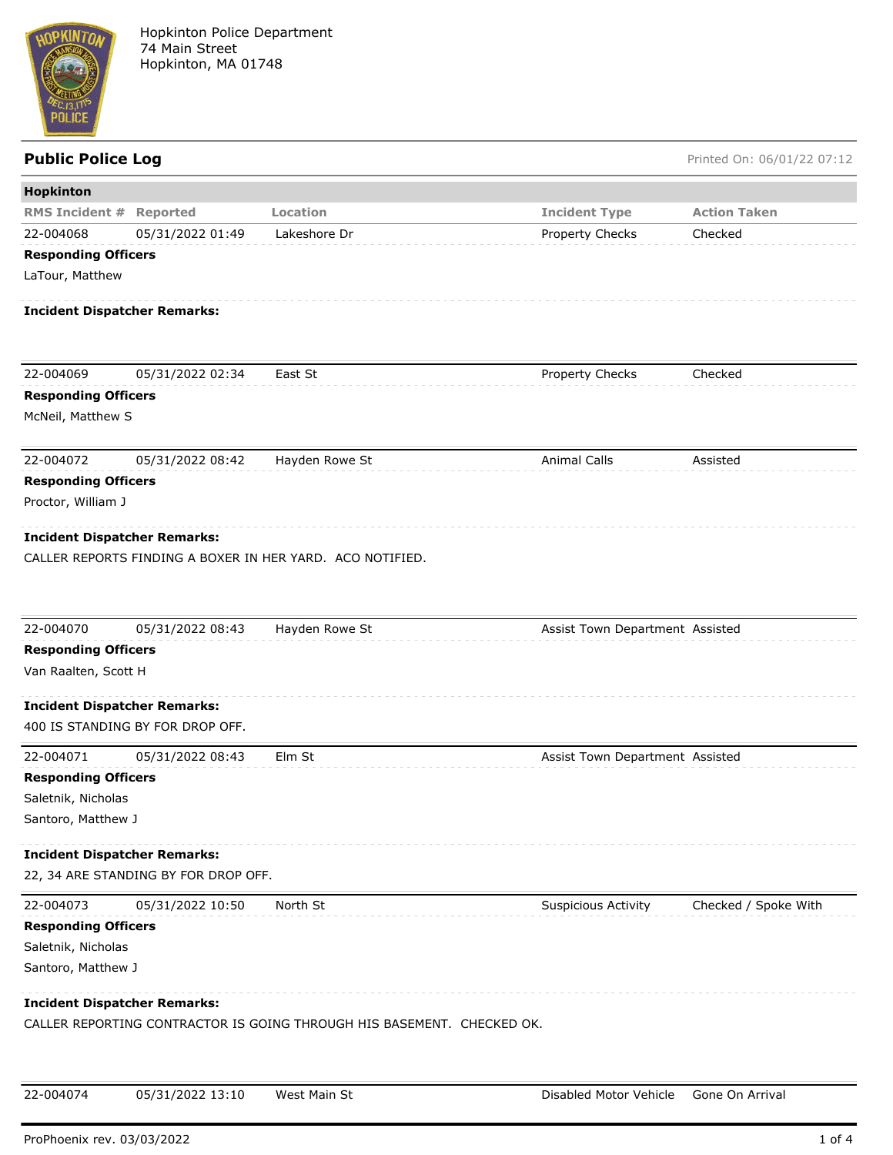

Public Police Log **Public Police Log** Printed On: 06/01/22 07:12

| Hopkinton                           |                                      |                                                                        |                                 |                      |
|-------------------------------------|--------------------------------------|------------------------------------------------------------------------|---------------------------------|----------------------|
| <b>RMS Incident #</b>               | Reported                             | Location                                                               | <b>Incident Type</b>            | <b>Action Taken</b>  |
| 22-004068                           | 05/31/2022 01:49                     | Lakeshore Dr                                                           | Property Checks                 | Checked              |
| <b>Responding Officers</b>          |                                      |                                                                        |                                 |                      |
| LaTour, Matthew                     |                                      |                                                                        |                                 |                      |
| <b>Incident Dispatcher Remarks:</b> |                                      |                                                                        |                                 |                      |
| 22-004069                           | 05/31/2022 02:34                     | East St                                                                | Property Checks                 | Checked              |
| <b>Responding Officers</b>          |                                      |                                                                        |                                 |                      |
| McNeil, Matthew S                   |                                      |                                                                        |                                 |                      |
| 22-004072                           | 05/31/2022 08:42                     | Hayden Rowe St                                                         | <b>Animal Calls</b>             | Assisted             |
| <b>Responding Officers</b>          |                                      |                                                                        |                                 |                      |
| Proctor, William J                  |                                      |                                                                        |                                 |                      |
| <b>Incident Dispatcher Remarks:</b> |                                      |                                                                        |                                 |                      |
|                                     |                                      | CALLER REPORTS FINDING A BOXER IN HER YARD. ACO NOTIFIED.              |                                 |                      |
|                                     |                                      |                                                                        |                                 |                      |
| 22-004070                           | 05/31/2022 08:43                     | Hayden Rowe St                                                         | Assist Town Department Assisted |                      |
| <b>Responding Officers</b>          |                                      |                                                                        |                                 |                      |
| Van Raalten, Scott H                |                                      |                                                                        |                                 |                      |
| <b>Incident Dispatcher Remarks:</b> |                                      |                                                                        |                                 |                      |
|                                     | 400 IS STANDING BY FOR DROP OFF.     |                                                                        |                                 |                      |
| 22-004071                           | 05/31/2022 08:43                     | Elm St                                                                 | Assist Town Department Assisted |                      |
| <b>Responding Officers</b>          |                                      |                                                                        |                                 |                      |
| Saletnik, Nicholas                  |                                      |                                                                        |                                 |                      |
| Santoro, Matthew J                  |                                      |                                                                        |                                 |                      |
| <b>Incident Dispatcher Remarks:</b> |                                      |                                                                        |                                 |                      |
|                                     | 22, 34 ARE STANDING BY FOR DROP OFF. |                                                                        |                                 |                      |
| 22-004073                           | 05/31/2022 10:50                     | North St                                                               | <b>Suspicious Activity</b>      | Checked / Spoke With |
| <b>Responding Officers</b>          |                                      |                                                                        |                                 |                      |
| Saletnik, Nicholas                  |                                      |                                                                        |                                 |                      |
| Santoro, Matthew J                  |                                      |                                                                        |                                 |                      |
| <b>Incident Dispatcher Remarks:</b> |                                      |                                                                        |                                 |                      |
|                                     |                                      | CALLER REPORTING CONTRACTOR IS GOING THROUGH HIS BASEMENT. CHECKED OK. |                                 |                      |
| 22-004074                           | 05/31/2022 13:10                     | West Main St                                                           | Disabled Motor Vehicle          | Gone On Arrival      |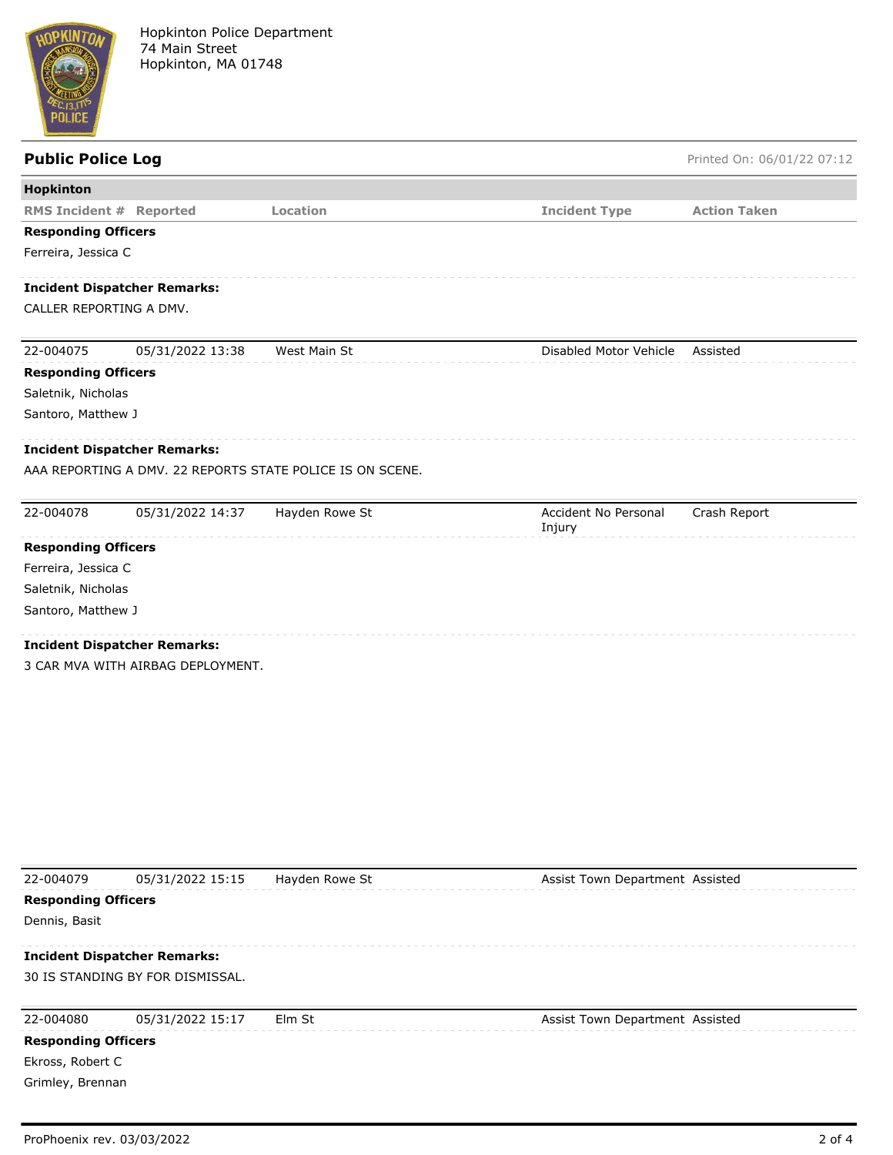

## **Public Police Log** Printed On: 06/01/22 07:12 **Hopkinton RMS Incident # Reported Location Incident Type Action Taken Responding Officers** Ferreira, Jessica C **Incident Dispatcher Remarks:** CALLER REPORTING A DMV. 22-004075 05/31/2022 13:38 West Main St Disabled Motor Vehicle Assisted **Responding Officers** Saletnik, Nicholas Santoro, Matthew J **Incident Dispatcher Remarks:** AAA REPORTING A DMV. 22 REPORTS STATE POLICE IS ON SCENE.

| 22-004078                  | 05/31/2022 14:37                    | Hayden Rowe St | Accident No Personal<br>Injury | Crash Report |  |
|----------------------------|-------------------------------------|----------------|--------------------------------|--------------|--|
| <b>Responding Officers</b> |                                     |                |                                |              |  |
| Ferreira, Jessica C        |                                     |                |                                |              |  |
| Saletnik, Nicholas         |                                     |                |                                |              |  |
| Santoro, Matthew J         |                                     |                |                                |              |  |
|                            | <b>Incident Dispatcher Remarks:</b> |                |                                |              |  |
|                            | 3 CAR MVA WITH AIRBAG DEPLOYMENT.   |                |                                |              |  |

| 22-004079                  | 05/31/2022 15:15                    | Hayden Rowe St | Assist Town Department Assisted |
|----------------------------|-------------------------------------|----------------|---------------------------------|
| <b>Responding Officers</b> |                                     |                |                                 |
| Dennis, Basit              |                                     |                |                                 |
|                            | <b>Incident Dispatcher Remarks:</b> |                |                                 |
|                            | 30 IS STANDING BY FOR DISMISSAL.    |                |                                 |
| 22-004080                  | 05/31/2022 15:17                    | Elm St         | Assist Town Department Assisted |
| <b>Responding Officers</b> |                                     |                |                                 |
| Ekross, Robert C           |                                     |                |                                 |
| Grimley, Brennan           |                                     |                |                                 |
|                            |                                     |                |                                 |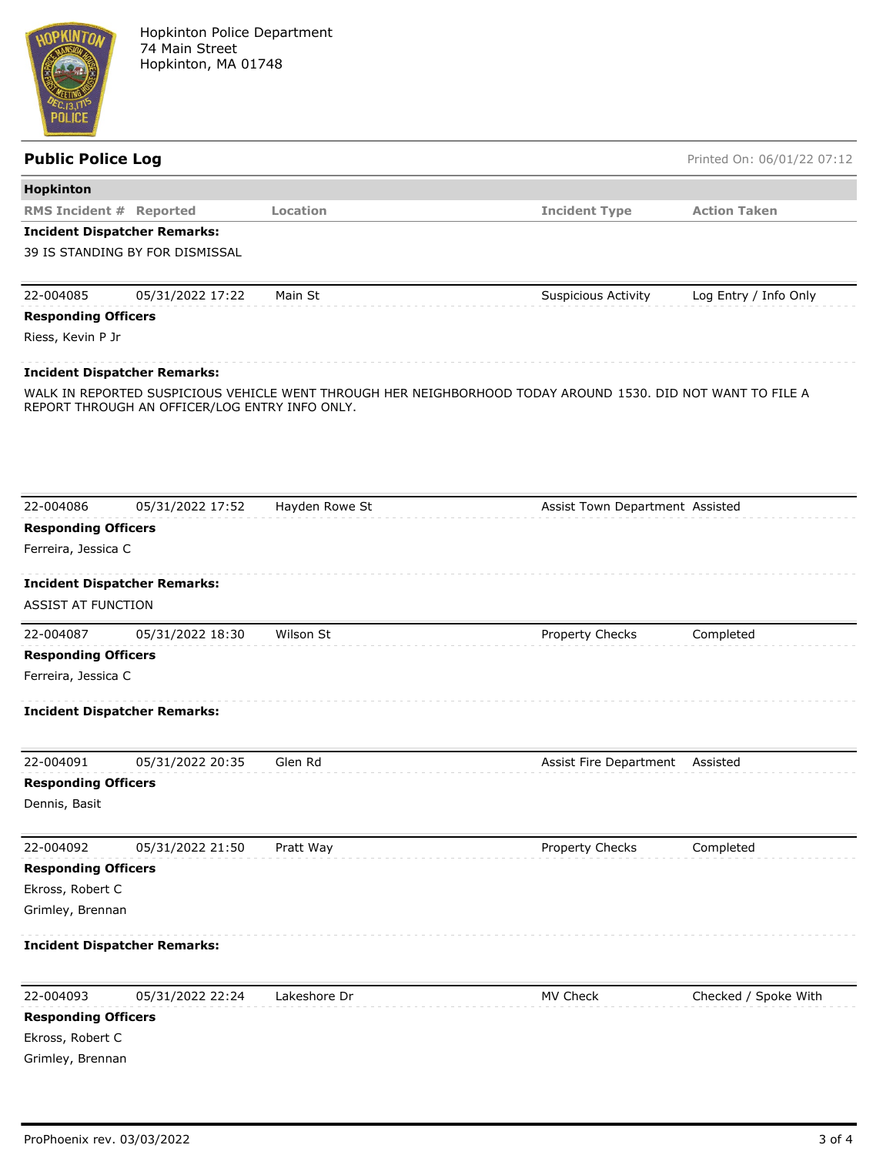

| <b>Public Police Log</b>       |                                                |                 |                                                                                                             | Printed On: 06/01/22 07:12 |
|--------------------------------|------------------------------------------------|-----------------|-------------------------------------------------------------------------------------------------------------|----------------------------|
| <b>Hopkinton</b>               |                                                |                 |                                                                                                             |                            |
| <b>RMS Incident # Reported</b> |                                                | <b>Location</b> | <b>Incident Type</b>                                                                                        | <b>Action Taken</b>        |
|                                | <b>Incident Dispatcher Remarks:</b>            |                 |                                                                                                             |                            |
|                                | 39 IS STANDING BY FOR DISMISSAL                |                 |                                                                                                             |                            |
| 22-004085                      | 05/31/2022 17:22                               | Main St         | <b>Suspicious Activity</b>                                                                                  | Log Entry / Info Only      |
| <b>Responding Officers</b>     |                                                |                 |                                                                                                             |                            |
| Riess, Kevin P Jr              |                                                |                 |                                                                                                             |                            |
|                                | <b>Incident Dispatcher Remarks:</b>            |                 |                                                                                                             |                            |
|                                | REPORT THROUGH AN OFFICER/LOG ENTRY INFO ONLY. |                 | WALK IN REPORTED SUSPICIOUS VEHICLE WENT THROUGH HER NEIGHBORHOOD TODAY AROUND 1530. DID NOT WANT TO FILE A |                            |
| 22-004086                      | 05/31/2022 17:52                               | Hayden Rowe St  | Assist Town Department Assisted                                                                             |                            |
| <b>Responding Officers</b>     |                                                |                 |                                                                                                             |                            |
| Ferreira, Jessica C            |                                                |                 |                                                                                                             |                            |
|                                | <b>Incident Dispatcher Remarks:</b>            |                 |                                                                                                             |                            |
| <b>ASSIST AT FUNCTION</b>      |                                                |                 |                                                                                                             |                            |
| 22-004087                      | 05/31/2022 18:30                               | Wilson St       | Property Checks                                                                                             | Completed                  |
| <b>Responding Officers</b>     |                                                |                 |                                                                                                             |                            |
| Ferreira, Jessica C            |                                                |                 |                                                                                                             |                            |
|                                | <b>Incident Dispatcher Remarks:</b>            |                 |                                                                                                             |                            |
| 22-004091                      | 05/31/2022 20:35                               | Glen Rd         | Assist Fire Department                                                                                      | Assisted                   |
| <b>Responding Officers</b>     |                                                |                 |                                                                                                             |                            |
| Dennis, Basit                  |                                                |                 |                                                                                                             |                            |
| 22-004092                      | 05/31/2022 21:50                               | Pratt Way       | Property Checks                                                                                             | Completed                  |
| <b>Responding Officers</b>     |                                                |                 |                                                                                                             |                            |
| Ekross, Robert C               |                                                |                 |                                                                                                             |                            |
| Grimley, Brennan               |                                                |                 |                                                                                                             |                            |
|                                | <b>Incident Dispatcher Remarks:</b>            |                 |                                                                                                             |                            |
| 22-004093                      | 05/31/2022 22:24                               | Lakeshore Dr    | MV Check                                                                                                    | Checked / Spoke With       |
| <b>Responding Officers</b>     |                                                |                 |                                                                                                             |                            |
| Ekross, Robert C               |                                                |                 |                                                                                                             |                            |